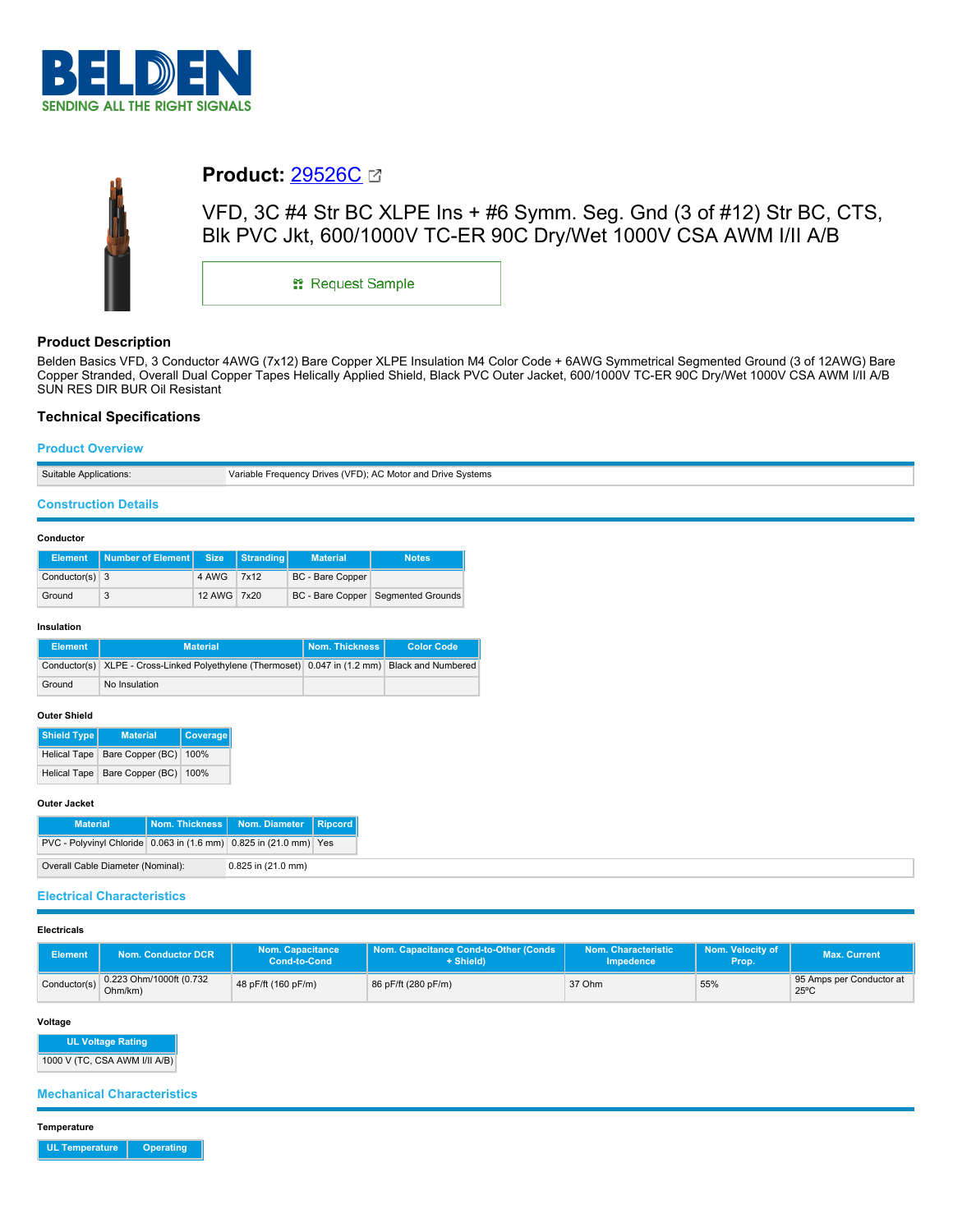



# **Product:** [29526C](https://catalog.belden.com/index.cfm?event=pd&p=PF_29526C&tab=downloads)

VFD, 3C #4 Str BC XLPE Ins + #6 Symm. Seg. Gnd (3 of #12) Str BC, CTS, Blk PVC Jkt, 600/1000V TC-ER 90C Dry/Wet 1000V CSA AWM I/II A/B

\*\* Request Sample

# **Product Description**

Belden Basics VFD, 3 Conductor 4AWG (7x12) Bare Copper XLPE Insulation M4 Color Code + 6AWG Symmetrical Segmented Ground (3 of 12AWG) Bare Copper Stranded, Overall Dual Copper Tapes Helically Applied Shield, Black PVC Outer Jacket, 600/1000V TC-ER 90C Dry/Wet 1000V CSA AWM I/II A/B SUN RES DIR BUR Oil Resistant

# **Technical Specifications**

## **Product Overview**

| <b>Suitable Applications:</b> | Variable Frequency Drives (VFD); AC Motor and Drive Systems |
|-------------------------------|-------------------------------------------------------------|

## **Construction Details**

### **Conductor**

|                  | Element   Number of Element   Size   Stranding |             | <b>Material</b>  | <b>Notes</b>                         |
|------------------|------------------------------------------------|-------------|------------------|--------------------------------------|
| Conductor(s) $3$ |                                                | 4 AWG 7x12  | BC - Bare Copper |                                      |
| Ground           |                                                | 12 AWG 7x20 |                  | BC - Bare Copper   Segmented Grounds |

#### **Insulation**

| Element | <b>Material</b>                                                                                | Nom. Thickness I | <b>Color Code</b> |
|---------|------------------------------------------------------------------------------------------------|------------------|-------------------|
|         | Conductor(s) XLPE - Cross-Linked Polyethylene (Thermoset) 0.047 in (1.2 mm) Black and Numbered |                  |                   |
| Ground  | No Insulation                                                                                  |                  |                   |

## **Outer Shield**

| <b>Shield Type</b>  | <b>Material</b>                    | Coverage |
|---------------------|------------------------------------|----------|
|                     | Helical Tape Bare Copper (BC) 100% |          |
| <b>Helical Tape</b> | Bare Copper (BC) 100%              |          |

#### **Outer Jacket**

| <b>Material</b>                                                   |                        | Nom. Thickness   Nom. Diameter   Ripcord |  |
|-------------------------------------------------------------------|------------------------|------------------------------------------|--|
| PVC - Polyvinyl Chloride 0.063 in (1.6 mm) 0.825 in (21.0 mm) Yes |                        |                                          |  |
| Overall Cable Diameter (Nominal):                                 | $0.825$ in $(21.0$ mm) |                                          |  |

# **Electrical Characteristics**

## **Electricals**

| <b>Element</b> | <b>Jom. Conductor DCR</b>          | <b>Nom. Capacitance</b><br>Cond-to-Cond | Nom. Capacitance Cond-to-Other (Conds<br>+ Shield) | Nom. Characteristic<br><b>Impedence</b> | Nom. Velocity of<br>Prop. | <b>Max. Current</b>                        |
|----------------|------------------------------------|-----------------------------------------|----------------------------------------------------|-----------------------------------------|---------------------------|--------------------------------------------|
| Conductor(s)   | 0.223 Ohm/1000ft (0.732<br>Ohm/km) | 48 pF/ft (160 pF/m)                     | 86 pF/ft (280 pF/m)                                | 37 Ohm                                  | 55%                       | 95 Amps per Conductor at<br>$25^{\circ}$ C |

#### **Voltage**

**UL Voltage Rating**

1000 V (TC, CSA AWM I/II A/B)

# **Mechanical Characteristics**

**Temperature**

**UL Temperature Operating**